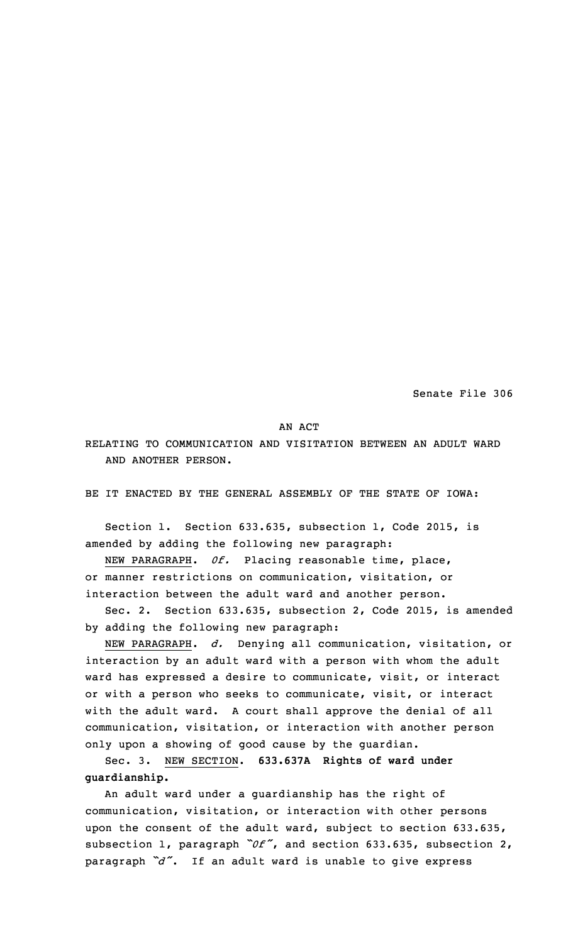Senate File 306

## AN ACT

RELATING TO COMMUNICATION AND VISITATION BETWEEN AN ADULT WARD AND ANOTHER PERSON.

BE IT ENACTED BY THE GENERAL ASSEMBLY OF THE STATE OF IOWA:

Section 1. Section 633.635, subsection 1, Code 2015, is amended by adding the following new paragraph:

NEW PARAGRAPH. *0f.* Placing reasonable time, place, or manner restrictions on communication, visitation, or interaction between the adult ward and another person.

Sec. 2. Section 633.635, subsection 2, Code 2015, is amended by adding the following new paragraph:

NEW PARAGRAPH. *d.* Denying all communication, visitation, or interaction by an adult ward with <sup>a</sup> person with whom the adult ward has expressed <sup>a</sup> desire to communicate, visit, or interact or with <sup>a</sup> person who seeks to communicate, visit, or interact with the adult ward. <sup>A</sup> court shall approve the denial of all communication, visitation, or interaction with another person only upon <sup>a</sup> showing of good cause by the guardian.

Sec. 3. NEW SECTION. **633.637A Rights of ward under guardianship.**

An adult ward under <sup>a</sup> guardianship has the right of communication, visitation, or interaction with other persons upon the consent of the adult ward, subject to section 633.635, subsection 1, paragraph *"0f"*, and section 633.635, subsection 2, paragraph *"d"*. If an adult ward is unable to give express